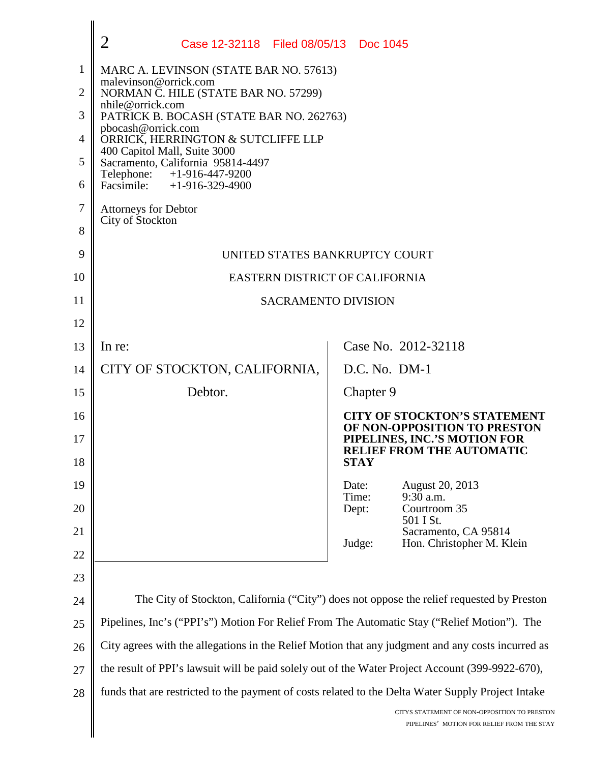|    | $\overline{2}$<br>Case 12-32118 Filed 08/05/13 Doc 1045                                            |                                                                                            |  |
|----|----------------------------------------------------------------------------------------------------|--------------------------------------------------------------------------------------------|--|
| 1  | MARC A. LEVINSON (STATE BAR NO. 57613)                                                             |                                                                                            |  |
| 2  | malevinson@orrick.com<br>NORMAN C. HILE (STATE BAR NO. 57299)                                      |                                                                                            |  |
| 3  | nhile@orrick.com<br>PATRICK B. BOCASH (STATE BAR NO. 262763)                                       |                                                                                            |  |
| 4  | pbocash@orrick.com<br>ORRICK, HERRINGTON & SUTCLIFFE LLP                                           |                                                                                            |  |
| 5  | 400 Capitol Mall, Suite 3000<br>Sacramento, California 95814-4497                                  |                                                                                            |  |
| 6  | Telephone:<br>+1-916-447-9200<br>Facsimile: $+1-916-329-4900$                                      |                                                                                            |  |
| 7  | <b>Attorneys for Debtor</b>                                                                        |                                                                                            |  |
| 8  | City of Stockton                                                                                   |                                                                                            |  |
| 9  | UNITED STATES BANKRUPTCY COURT                                                                     |                                                                                            |  |
| 10 | EASTERN DISTRICT OF CALIFORNIA                                                                     |                                                                                            |  |
| 11 | <b>SACRAMENTO DIVISION</b>                                                                         |                                                                                            |  |
| 12 |                                                                                                    |                                                                                            |  |
| 13 | In re:                                                                                             | Case No. 2012-32118                                                                        |  |
| 14 | CITY OF STOCKTON, CALIFORNIA,                                                                      | D.C. No. DM-1                                                                              |  |
| 15 | Debtor.                                                                                            | Chapter 9                                                                                  |  |
| 16 |                                                                                                    | <b>CITY OF STOCKTON'S STATEMENT</b><br>OF NON-OPPOSITION TO PRESTON                        |  |
| 17 |                                                                                                    | PIPELINES, INC.'S MOTION FOR<br><b>RELIEF FROM THE AUTOMATIC</b>                           |  |
| 18 |                                                                                                    | <b>STAY</b>                                                                                |  |
| 19 |                                                                                                    | August 20, 2013<br>Date:<br>9:30 a.m.<br>Time:                                             |  |
| 20 |                                                                                                    | Courtroom 35<br>Dept:<br>501 I St.                                                         |  |
| 21 |                                                                                                    | Sacramento, CA 95814<br>Hon. Christopher M. Klein<br>Judge:                                |  |
| 22 |                                                                                                    |                                                                                            |  |
| 23 |                                                                                                    |                                                                                            |  |
| 24 | The City of Stockton, California ("City") does not oppose the relief requested by Preston          |                                                                                            |  |
| 25 | Pipelines, Inc's ("PPI's") Motion For Relief From The Automatic Stay ("Relief Motion"). The        |                                                                                            |  |
| 26 | City agrees with the allegations in the Relief Motion that any judgment and any costs incurred as  |                                                                                            |  |
| 27 | the result of PPI's lawsuit will be paid solely out of the Water Project Account (399-9922-670),   |                                                                                            |  |
| 28 | funds that are restricted to the payment of costs related to the Delta Water Supply Project Intake |                                                                                            |  |
|    |                                                                                                    | CITYS STATEMENT OF NON-OPPOSITION TO PRESTON<br>PIPELINES' MOTION FOR RELIEF FROM THE STAY |  |